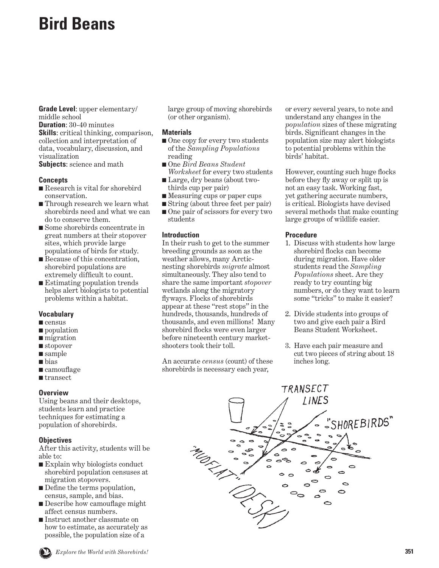# **Bird Beans**

**Grade Level**: upper elementary/ middle school

**Duration**: 30-40 minutes **Skills**: critical thinking, comparison, collection and interpretation of data, vocabulary, discussion, and visualization

**Subjects**: science and math

#### **Concepts**

- Research is vital for shorebird conservation.
- Through research we learn what shorebirds need and what we can do to conserve them.
- Some shorebirds concentrate in great numbers at their stopover sites, which provide large populations of birds for study.
- Because of this concentration, shorebird populations are extremely difficult to count.
- Estimating population trends helps alert biologists to potential problems within a habitat.

#### **Vocabulary**

- census
- population
- migration
- stopover
- sample
- bias
- camouflage
- transect

#### **Overview**

Using beans and their desktops, students learn and practice techniques for estimating a population of shorebirds.

## **Objectives**

After this activity, students will be able to:

- Explain why biologists conduct shorebird population censuses at migration stopovers.
- Define the terms population, census, sample, and bias.
- Describe how camouflage might affect census numbers.
- Instruct another classmate on how to estimate, as accurately as possible, the population size of a

**Explore the World with Shorebirds! 351** SHOREBIRD SISTER SERVICES **351** SHOREBIRD SISTER SCHOOLS PROGRAM SHOREBIRD SISTER SCHOOLS PROGRAM SHOREBIRD SISTER SCHOOLS PROGRAM SHOREBIRD SISTER SCHOOLS PROGRAM SHOREBIRD SISTE

large group of moving shorebirds (or other organism).

### **Materials**

- One copy for every two students of the *Sampling Populations* reading
- One *Bird Beans Student Worksheet* for every two students
- Large, dry beans (about twothirds cup per pair)
- Measuring cups or paper cups
- String (about three feet per pair)
- One pair of scissors for every two students

### **Introduction**

In their rush to get to the summer breeding grounds as soon as the weather allows, many Arcticnesting shorebirds *migrate* almost simultaneously. They also tend to share the same important *stopover* wetlands along the migratory flyways. Flocks of shorebirds appear at these "rest stops" in the hundreds, thousands, hundreds of thousands, and even millions! Many shorebird flocks were even larger before nineteenth century marketshooters took their toll.

An accurate *census* (count) of these shorebirds is necessary each year,

or every several years, to note and understand any changes in the *population* sizes of these migrating birds. Significant changes in the population size may alert biologists to potential problems within the birds' habitat.

However, counting such huge flocks before they fly away or split up is not an easy task. Working fast, yet gathering accurate numbers, is critical. Biologists have devised several methods that make counting large groups of wildlife easier.

#### **Procedure**

- 1. Discuss with students how large shorebird flocks can become during migration. Have older students read the *Sampling Populations* sheet. Are they ready to try counting big numbers, or do they want to learn some "tricks" to make it easier?
- 2. Divide students into groups of two and give each pair a Bird Beans Student Worksheet.
- 3. Have each pair measure and cut two pieces of string about 18 inches long.

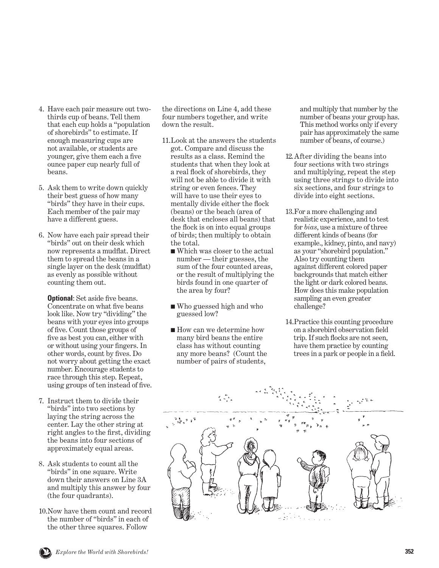- 4. Have each pair measure out twothirds cup of beans. Tell them that each cup holds a "population of shorebirds" to estimate. If enough measuring cups are not available, or students are younger, give them each a five ounce paper cup nearly full of beans.
- 5. Ask them to write down quickly their best guess of how many "birds" they have in their cups. Each member of the pair may have a different guess.
- 6. Now have each pair spread their "birds" out on their desk which now represents a mudflat. Direct them to spread the beans in a single layer on the desk (mudflat) as evenly as possible without counting them out.

 **Optional**: Set aside five beans. Concentrate on what five beans look like. Now try "dividing" the beans with your eyes into groups of five. Count those groups of five as best you can, either with or without using your fingers. In other words, count by fives. Do not worry about getting the exact number. Encourage students to race through this step. Repeat, using groups of ten instead of five.

- 7. Instruct them to divide their "birds" into two sections by laying the string across the center. Lay the other string at right angles to the first, dividing the beans into four sections of approximately equal areas.
- 8. Ask students to count all the "birds" in one square. Write down their answers on Line 3A and multiply this answer by four (the four quadrants).
- 10. Now have them count and record the number of "birds" in each of the other three squares. Follow

the directions on Line 4, add these four numbers together, and write down the result.

- 11. Look at the answers the students got. Compare and discuss the results as a class. Remind the students that when they look at a real flock of shorebirds, they will not be able to divide it with string or even fences. They will have to use their eyes to mentally divide either the flock (beans) or the beach (area of desk that encloses all beans) that the flock is on into equal groups of birds; then multiply to obtain the total.
	- Which was closer to the actual number — their guesses, the sum of the four counted areas, or the result of multiplying the birds found in one quarter of the area by four?
	- Who guessed high and who guessed low?
	- How can we determine how many bird beans the entire class has without counting any more beans? (Count the number of pairs of students,

and multiply that number by the number of beans your group has. This method works only if every pair has approximately the same number of beans, of course.)

- 12. After dividing the beans into four sections with two strings and multiplying, repeat the step using three strings to divide into six sections, and four strings to divide into eight sections.
- 13. For a more challenging and realistic experience, and to test for *bias*, use a mixture of three different kinds of beans (for example., kidney, pinto, and navy) as your "shorebird population." Also try counting them against different colored paper backgrounds that match either the light or dark colored beans. How does this make population sampling an even greater challenge?
- 14. Practice this counting procedure on a shorebird observation field trip. If such flocks are not seen, have them practice by counting trees in a park or people in a field.



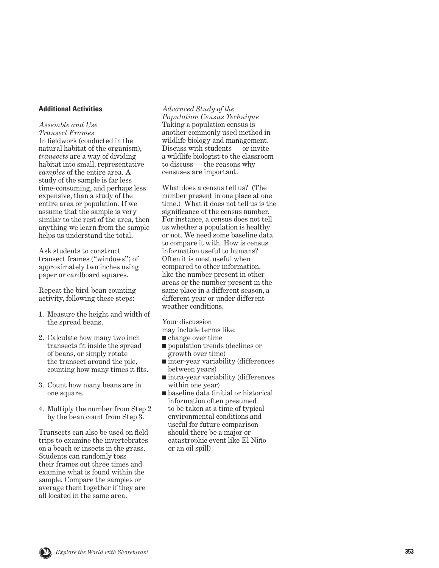#### **Additional Activities**

*Assemble and Use Transect Frames*  In fieldwork (conducted in the natural habitat of the organism), *transects* are a way of dividing habitat into small, representative *samples* of the entire area. A study of the sample is far less time-consuming, and perhaps less expensive, than a study of the entire area or population. If we assume that the sample is very similar to the rest of the area, then anything we learn from the sample helps us understand the total.

Ask students to construct transect frames ("windows") of approximately two inches using paper or cardboard squares.

Repeat the bird-bean counting activity, following these steps:

- 1. Measure the height and width of the spread beans.
- 2. Calculate how many two inch transects fit inside the spread of beans, or simply rotate the transect around the pile, counting how many times it fits.
- 3. Count how many beans are in one square.
- 4. Multiply the number from Step 2 by the bean count from Step 3.

Transects can also be used on field trips to examine the invertebrates on a beach or insects in the grass. Students can randomly toss their frames out three times and examine what is found within the sample. Compare the samples or average them together if they are all located in the same area.

*Advanced Study of the* 

*Population Census Technique* Taking a population census is another commonly used method in wildlife biology and management. Discuss with students — or invite a wildlife biologist to the classroom to discuss — the reasons why censuses are important.

What does a census tell us? (The number present in one place at one time.) What it does not tell us is the significance of the census number. For instance, a census does not tell us whether a population is healthy or not. We need some baseline data to compare it with. How is census information useful to humans? Often it is most useful when compared to other information, like the number present in other areas or the number present in the same place in a different season, a different year or under different weather conditions.

Your discussion

- may include terms like:
- change over time
- population trends (declines or growth over time)
- inter-year variability (differences between years)
- intra-year variability (differences within one year)
- baseline data (initial or historical information often presumed to be taken at a time of typical environmental conditions and useful for future comparison should there be a major or catastrophic event like El Niño or an oil spill)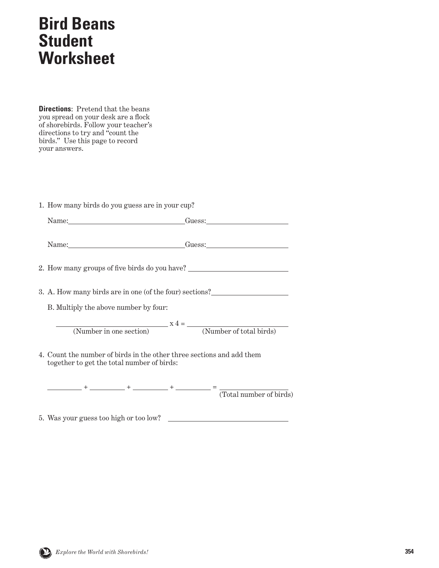## **Bird Beans Student Worksheet**

**Directions**: Pretend that the beans you spread on your desk are a flock of shorebirds. Follow your teacher's directions to try and "count the birds." Use this page to record your answers.

1. How many birds do you guess are in your cup?

| Name:___________________________________Guess:__________________________________                                    |  |  |
|---------------------------------------------------------------------------------------------------------------------|--|--|
| Name: Guess: Guess:                                                                                                 |  |  |
| 2. How many groups of five birds do you have? __________________________________                                    |  |  |
| 3. A. How many birds are in one (of the four) sections?                                                             |  |  |
| B. Multiply the above number by four:                                                                               |  |  |
| $x 4 =$ (Number in one section) $x 4 =$ (Number of total birds)                                                     |  |  |
|                                                                                                                     |  |  |
| 4. Count the number of birds in the other three sections and add them<br>together to get the total number of birds: |  |  |

 + + + = (Total number of birds)

5. Was your guess too high or too low?